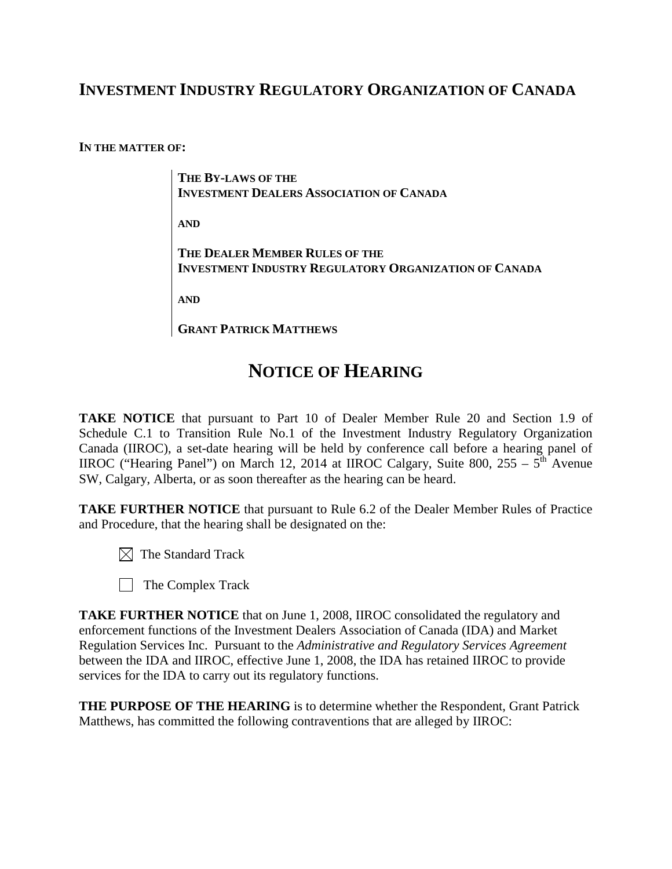## **INVESTMENT INDUSTRY REGULATORY ORGANIZATION OF CANADA**

**IN THE MATTER OF:**

**THE BY-LAWS OF THE INVESTMENT DEALERS ASSOCIATION OF CANADA**

**AND**

**THE DEALER MEMBER RULES OF THE INVESTMENT INDUSTRY REGULATORY ORGANIZATION OF CANADA**

**AND**

**GRANT PATRICK MATTHEWS**

# **NOTICE OF HEARING**

**TAKE NOTICE** that pursuant to Part 10 of Dealer Member Rule 20 and Section 1.9 of Schedule C.1 to Transition Rule No.1 of the Investment Industry Regulatory Organization Canada (IIROC), a set-date hearing will be held by conference call before a hearing panel of IIROC ("Hearing Panel") on March 12, 2014 at IIROC Calgary, Suite 800,  $255 - 5$ <sup>th</sup> Avenue SW, Calgary, Alberta, or as soon thereafter as the hearing can be heard.

**TAKE FURTHER NOTICE** that pursuant to Rule 6.2 of the Dealer Member Rules of Practice and Procedure, that the hearing shall be designated on the:

- $\boxtimes$  The Standard Track
- The Complex Track

**TAKE FURTHER NOTICE** that on June 1, 2008, IIROC consolidated the regulatory and enforcement functions of the Investment Dealers Association of Canada (IDA) and Market Regulation Services Inc. Pursuant to the *Administrative and Regulatory Services Agreement* between the IDA and IIROC, effective June 1, 2008, the IDA has retained IIROC to provide services for the IDA to carry out its regulatory functions.

**THE PURPOSE OF THE HEARING** is to determine whether the Respondent, Grant Patrick Matthews, has committed the following contraventions that are alleged by IIROC: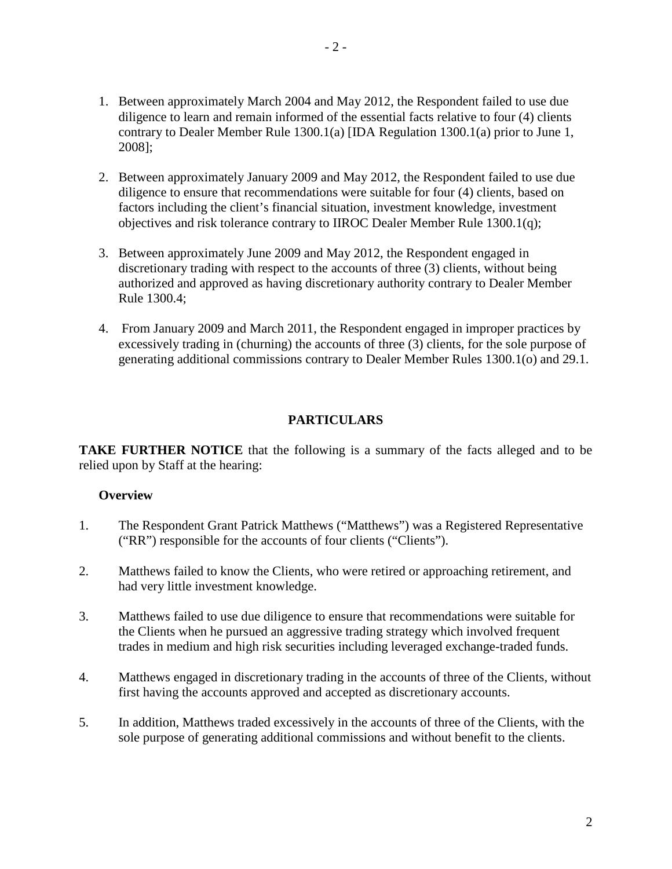- 1. Between approximately March 2004 and May 2012, the Respondent failed to use due diligence to learn and remain informed of the essential facts relative to four (4) clients contrary to Dealer Member Rule 1300.1(a) [IDA Regulation 1300.1(a) prior to June 1, 2008];
- 2. Between approximately January 2009 and May 2012, the Respondent failed to use due diligence to ensure that recommendations were suitable for four (4) clients, based on factors including the client's financial situation, investment knowledge, investment objectives and risk tolerance contrary to IIROC Dealer Member Rule 1300.1(q);
- 3. Between approximately June 2009 and May 2012, the Respondent engaged in discretionary trading with respect to the accounts of three (3) clients, without being authorized and approved as having discretionary authority contrary to Dealer Member Rule 1300.4;
- 4. From January 2009 and March 2011, the Respondent engaged in improper practices by excessively trading in (churning) the accounts of three (3) clients, for the sole purpose of generating additional commissions contrary to Dealer Member Rules 1300.1(o) and 29.1.

## **PARTICULARS**

**TAKE FURTHER NOTICE** that the following is a summary of the facts alleged and to be relied upon by Staff at the hearing:

## **Overview**

- 1. The Respondent Grant Patrick Matthews ("Matthews") was a Registered Representative ("RR") responsible for the accounts of four clients ("Clients").
- 2. Matthews failed to know the Clients, who were retired or approaching retirement, and had very little investment knowledge.
- 3. Matthews failed to use due diligence to ensure that recommendations were suitable for the Clients when he pursued an aggressive trading strategy which involved frequent trades in medium and high risk securities including leveraged exchange-traded funds.
- 4. Matthews engaged in discretionary trading in the accounts of three of the Clients, without first having the accounts approved and accepted as discretionary accounts.
- 5. In addition, Matthews traded excessively in the accounts of three of the Clients, with the sole purpose of generating additional commissions and without benefit to the clients.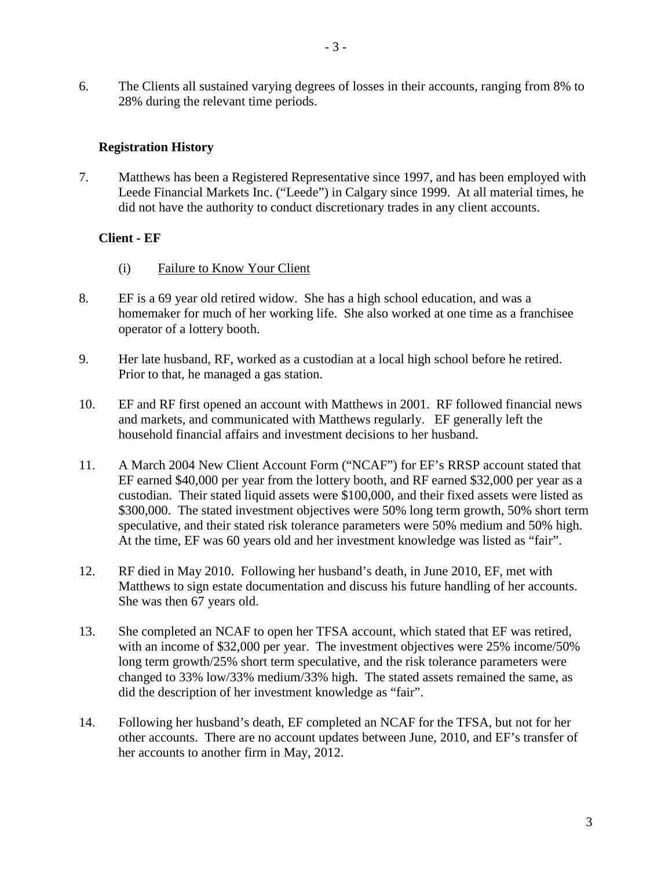6. The Clients all sustained varying degrees of losses in their accounts, ranging from 8% to 28% during the relevant time periods.

## **Registration History**

7. Matthews has been a Registered Representative since 1997, and has been employed with Leede Financial Markets Inc. ("Leede") in Calgary since 1999. At all material times, he did not have the authority to conduct discretionary trades in any client accounts.

## **Client - EF**

- (i) Failure to Know Your Client
- 8. EF is a 69 year old retired widow. She has a high school education, and was a homemaker for much of her working life. She also worked at one time as a franchisee operator of a lottery booth.
- 9. Her late husband, RF, worked as a custodian at a local high school before he retired. Prior to that, he managed a gas station.
- 10. EF and RF first opened an account with Matthews in 2001. RF followed financial news and markets, and communicated with Matthews regularly. EF generally left the household financial affairs and investment decisions to her husband.
- 11. A March 2004 New Client Account Form ("NCAF") for EF's RRSP account stated that EF earned \$40,000 per year from the lottery booth, and RF earned \$32,000 per year as a custodian. Their stated liquid assets were \$100,000, and their fixed assets were listed as \$300,000. The stated investment objectives were 50% long term growth, 50% short term speculative, and their stated risk tolerance parameters were 50% medium and 50% high. At the time, EF was 60 years old and her investment knowledge was listed as "fair".
- 12. RF died in May 2010. Following her husband's death, in June 2010, EF, met with Matthews to sign estate documentation and discuss his future handling of her accounts. She was then 67 years old.
- 13. She completed an NCAF to open her TFSA account, which stated that EF was retired, with an income of \$32,000 per year. The investment objectives were 25% income/50% long term growth/25% short term speculative, and the risk tolerance parameters were changed to 33% low/33% medium/33% high. The stated assets remained the same, as did the description of her investment knowledge as "fair".
- 14. Following her husband's death, EF completed an NCAF for the TFSA, but not for her other accounts. There are no account updates between June, 2010, and EF's transfer of her accounts to another firm in May, 2012.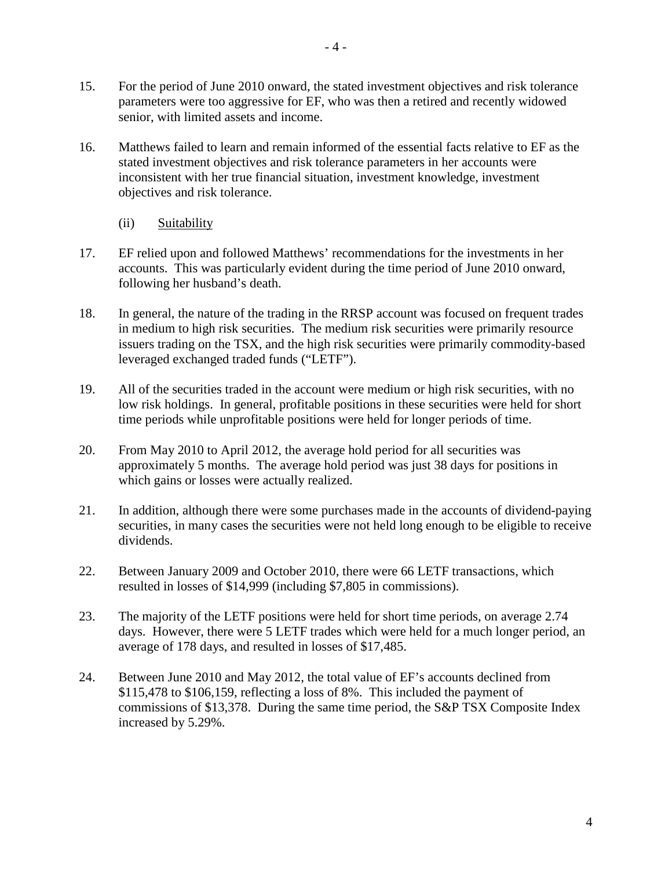- 15. For the period of June 2010 onward, the stated investment objectives and risk tolerance parameters were too aggressive for EF, who was then a retired and recently widowed senior, with limited assets and income.
- 16. Matthews failed to learn and remain informed of the essential facts relative to EF as the stated investment objectives and risk tolerance parameters in her accounts were inconsistent with her true financial situation, investment knowledge, investment objectives and risk tolerance.
	- (ii) Suitability
- 17. EF relied upon and followed Matthews' recommendations for the investments in her accounts. This was particularly evident during the time period of June 2010 onward, following her husband's death.
- 18. In general, the nature of the trading in the RRSP account was focused on frequent trades in medium to high risk securities. The medium risk securities were primarily resource issuers trading on the TSX, and the high risk securities were primarily commodity-based leveraged exchanged traded funds ("LETF").
- 19. All of the securities traded in the account were medium or high risk securities, with no low risk holdings. In general, profitable positions in these securities were held for short time periods while unprofitable positions were held for longer periods of time.
- 20. From May 2010 to April 2012, the average hold period for all securities was approximately 5 months. The average hold period was just 38 days for positions in which gains or losses were actually realized.
- 21. In addition, although there were some purchases made in the accounts of dividend-paying securities, in many cases the securities were not held long enough to be eligible to receive dividends.
- 22. Between January 2009 and October 2010, there were 66 LETF transactions, which resulted in losses of \$14,999 (including \$7,805 in commissions).
- 23. The majority of the LETF positions were held for short time periods, on average 2.74 days. However, there were 5 LETF trades which were held for a much longer period, an average of 178 days, and resulted in losses of \$17,485.
- 24. Between June 2010 and May 2012, the total value of EF's accounts declined from \$115,478 to \$106,159, reflecting a loss of 8%. This included the payment of commissions of \$13,378. During the same time period, the S&P TSX Composite Index increased by 5.29%.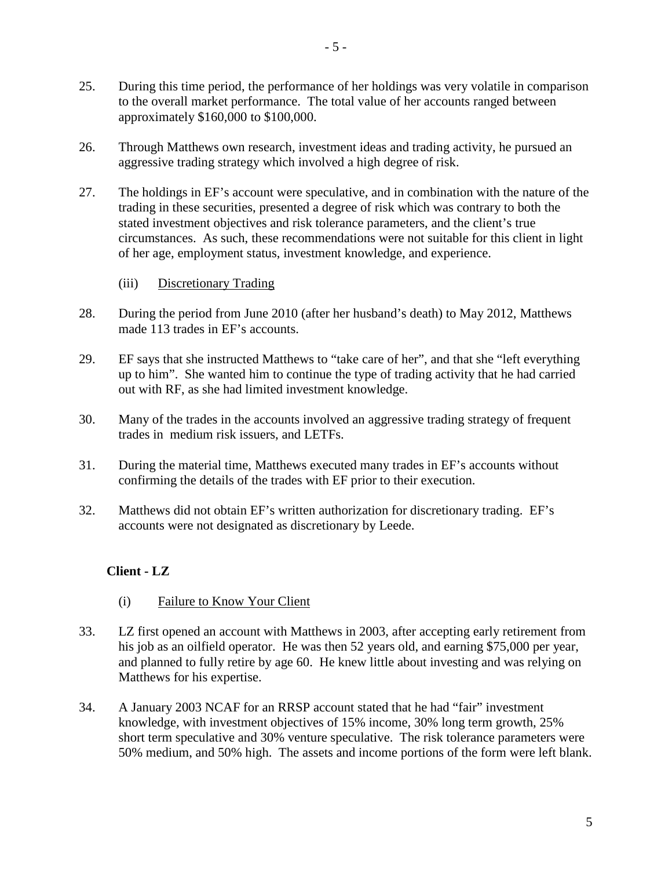- 25. During this time period, the performance of her holdings was very volatile in comparison to the overall market performance. The total value of her accounts ranged between approximately \$160,000 to \$100,000.
- 26. Through Matthews own research, investment ideas and trading activity, he pursued an aggressive trading strategy which involved a high degree of risk.
- 27. The holdings in EF's account were speculative, and in combination with the nature of the trading in these securities, presented a degree of risk which was contrary to both the stated investment objectives and risk tolerance parameters, and the client's true circumstances. As such, these recommendations were not suitable for this client in light of her age, employment status, investment knowledge, and experience.
	- (iii) Discretionary Trading
- 28. During the period from June 2010 (after her husband's death) to May 2012, Matthews made 113 trades in EF's accounts.
- 29. EF says that she instructed Matthews to "take care of her", and that she "left everything up to him". She wanted him to continue the type of trading activity that he had carried out with RF, as she had limited investment knowledge.
- 30. Many of the trades in the accounts involved an aggressive trading strategy of frequent trades in medium risk issuers, and LETFs.
- 31. During the material time, Matthews executed many trades in EF's accounts without confirming the details of the trades with EF prior to their execution.
- 32. Matthews did not obtain EF's written authorization for discretionary trading. EF's accounts were not designated as discretionary by Leede.

## **Client - LZ**

- (i) Failure to Know Your Client
- 33. LZ first opened an account with Matthews in 2003, after accepting early retirement from his job as an oilfield operator. He was then 52 years old, and earning \$75,000 per year, and planned to fully retire by age 60. He knew little about investing and was relying on Matthews for his expertise.
- 34. A January 2003 NCAF for an RRSP account stated that he had "fair" investment knowledge, with investment objectives of 15% income, 30% long term growth, 25% short term speculative and 30% venture speculative. The risk tolerance parameters were 50% medium, and 50% high. The assets and income portions of the form were left blank.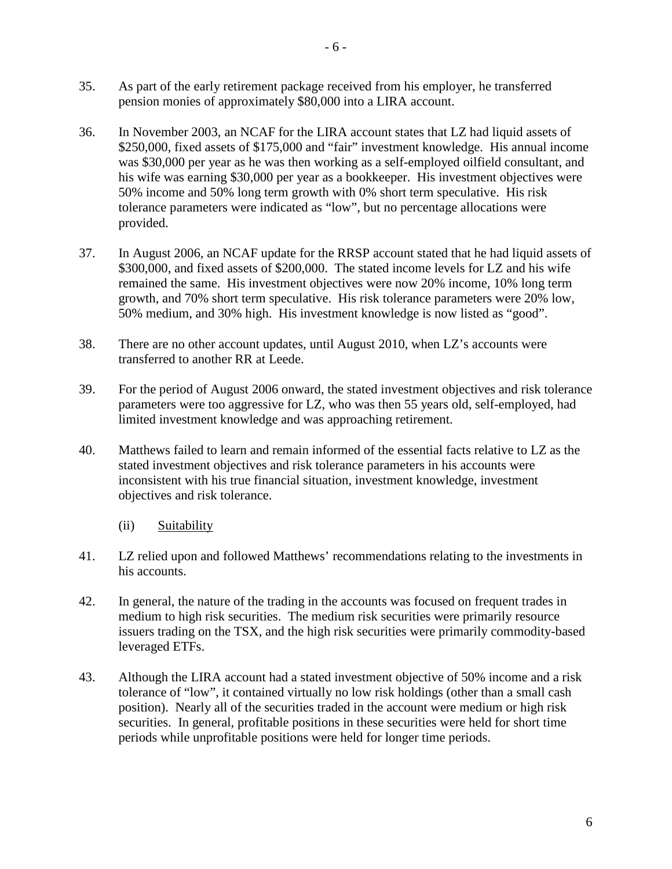- 35. As part of the early retirement package received from his employer, he transferred pension monies of approximately \$80,000 into a LIRA account.
- 36. In November 2003, an NCAF for the LIRA account states that LZ had liquid assets of \$250,000, fixed assets of \$175,000 and "fair" investment knowledge. His annual income was \$30,000 per year as he was then working as a self-employed oilfield consultant, and his wife was earning \$30,000 per year as a bookkeeper. His investment objectives were 50% income and 50% long term growth with 0% short term speculative. His risk tolerance parameters were indicated as "low", but no percentage allocations were provided.
- 37. In August 2006, an NCAF update for the RRSP account stated that he had liquid assets of \$300,000, and fixed assets of \$200,000. The stated income levels for LZ and his wife remained the same. His investment objectives were now 20% income, 10% long term growth, and 70% short term speculative. His risk tolerance parameters were 20% low, 50% medium, and 30% high. His investment knowledge is now listed as "good".
- 38. There are no other account updates, until August 2010, when LZ's accounts were transferred to another RR at Leede.
- 39. For the period of August 2006 onward, the stated investment objectives and risk tolerance parameters were too aggressive for LZ, who was then 55 years old, self-employed, had limited investment knowledge and was approaching retirement.
- 40. Matthews failed to learn and remain informed of the essential facts relative to LZ as the stated investment objectives and risk tolerance parameters in his accounts were inconsistent with his true financial situation, investment knowledge, investment objectives and risk tolerance.
	- (ii) Suitability
- 41. LZ relied upon and followed Matthews' recommendations relating to the investments in his accounts.
- 42. In general, the nature of the trading in the accounts was focused on frequent trades in medium to high risk securities. The medium risk securities were primarily resource issuers trading on the TSX, and the high risk securities were primarily commodity-based leveraged ETFs.
- 43. Although the LIRA account had a stated investment objective of 50% income and a risk tolerance of "low", it contained virtually no low risk holdings (other than a small cash position). Nearly all of the securities traded in the account were medium or high risk securities. In general, profitable positions in these securities were held for short time periods while unprofitable positions were held for longer time periods.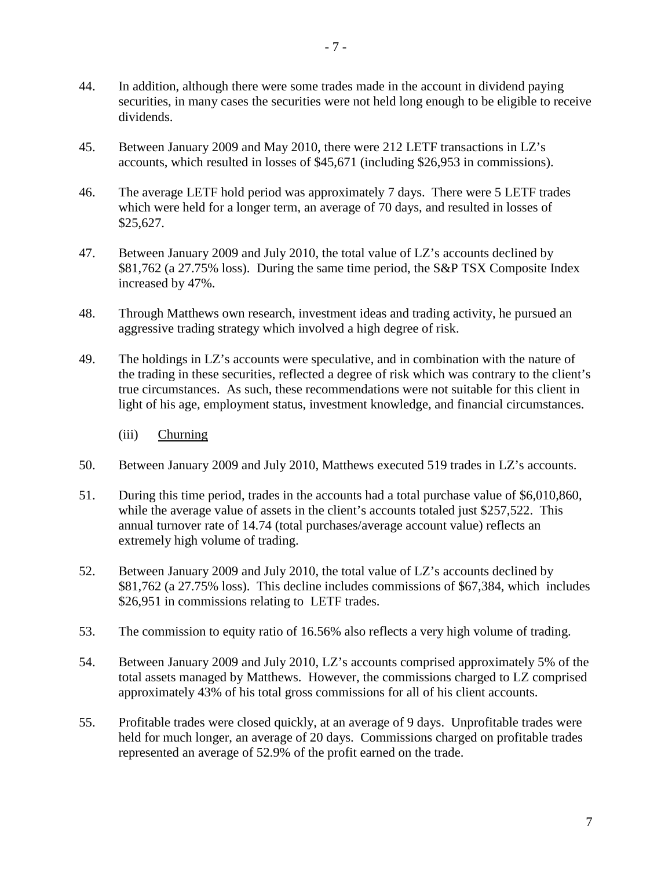- 44. In addition, although there were some trades made in the account in dividend paying securities, in many cases the securities were not held long enough to be eligible to receive dividends.
- 45. Between January 2009 and May 2010, there were 212 LETF transactions in LZ's accounts, which resulted in losses of \$45,671 (including \$26,953 in commissions).
- 46. The average LETF hold period was approximately 7 days. There were 5 LETF trades which were held for a longer term, an average of 70 days, and resulted in losses of \$25,627.
- 47. Between January 2009 and July 2010, the total value of LZ's accounts declined by \$81,762 (a 27.75% loss). During the same time period, the S&P TSX Composite Index increased by 47%.
- 48. Through Matthews own research, investment ideas and trading activity, he pursued an aggressive trading strategy which involved a high degree of risk.
- 49. The holdings in LZ's accounts were speculative, and in combination with the nature of the trading in these securities, reflected a degree of risk which was contrary to the client's true circumstances. As such, these recommendations were not suitable for this client in light of his age, employment status, investment knowledge, and financial circumstances.
	- (iii) Churning
- 50. Between January 2009 and July 2010, Matthews executed 519 trades in LZ's accounts.
- 51. During this time period, trades in the accounts had a total purchase value of \$6,010,860, while the average value of assets in the client's accounts totaled just \$257,522. This annual turnover rate of 14.74 (total purchases/average account value) reflects an extremely high volume of trading.
- 52. Between January 2009 and July 2010, the total value of LZ's accounts declined by \$81,762 (a 27.75% loss). This decline includes commissions of \$67,384, which includes \$26,951 in commissions relating to LETF trades.
- 53. The commission to equity ratio of 16.56% also reflects a very high volume of trading.
- 54. Between January 2009 and July 2010, LZ's accounts comprised approximately 5% of the total assets managed by Matthews. However, the commissions charged to LZ comprised approximately 43% of his total gross commissions for all of his client accounts.
- 55. Profitable trades were closed quickly, at an average of 9 days. Unprofitable trades were held for much longer, an average of 20 days. Commissions charged on profitable trades represented an average of 52.9% of the profit earned on the trade.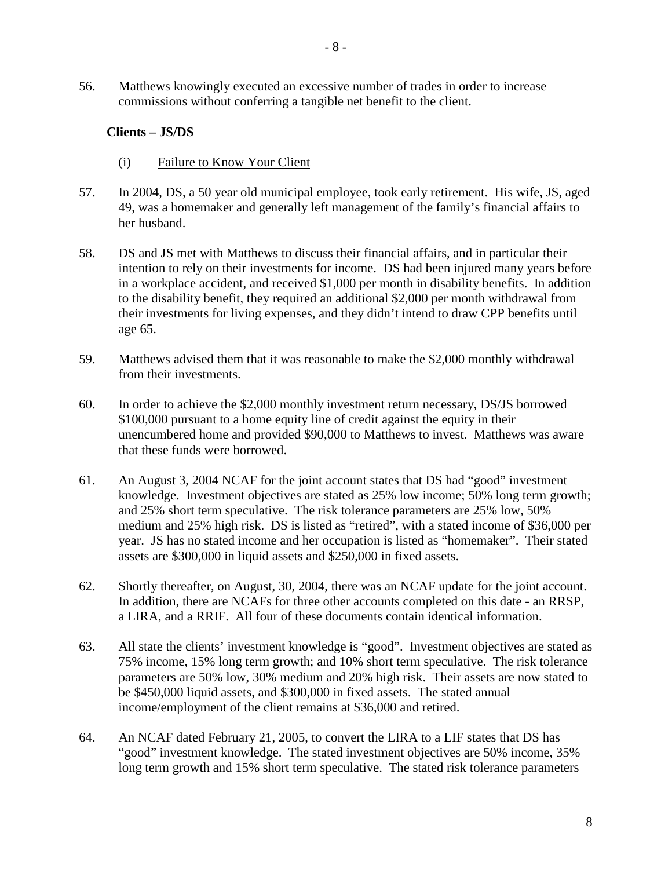56. Matthews knowingly executed an excessive number of trades in order to increase commissions without conferring a tangible net benefit to the client.

#### **Clients – JS/DS**

- (i) Failure to Know Your Client
- 57. In 2004, DS, a 50 year old municipal employee, took early retirement. His wife, JS, aged 49, was a homemaker and generally left management of the family's financial affairs to her husband.
- 58. DS and JS met with Matthews to discuss their financial affairs, and in particular their intention to rely on their investments for income. DS had been injured many years before in a workplace accident, and received \$1,000 per month in disability benefits. In addition to the disability benefit, they required an additional \$2,000 per month withdrawal from their investments for living expenses, and they didn't intend to draw CPP benefits until age 65.
- 59. Matthews advised them that it was reasonable to make the \$2,000 monthly withdrawal from their investments.
- 60. In order to achieve the \$2,000 monthly investment return necessary, DS/JS borrowed \$100,000 pursuant to a home equity line of credit against the equity in their unencumbered home and provided \$90,000 to Matthews to invest. Matthews was aware that these funds were borrowed.
- 61. An August 3, 2004 NCAF for the joint account states that DS had "good" investment knowledge. Investment objectives are stated as 25% low income; 50% long term growth; and 25% short term speculative. The risk tolerance parameters are 25% low, 50% medium and 25% high risk. DS is listed as "retired", with a stated income of \$36,000 per year. JS has no stated income and her occupation is listed as "homemaker". Their stated assets are \$300,000 in liquid assets and \$250,000 in fixed assets.
- 62. Shortly thereafter, on August, 30, 2004, there was an NCAF update for the joint account. In addition, there are NCAFs for three other accounts completed on this date - an RRSP, a LIRA, and a RRIF. All four of these documents contain identical information.
- 63. All state the clients' investment knowledge is "good". Investment objectives are stated as 75% income, 15% long term growth; and 10% short term speculative. The risk tolerance parameters are 50% low, 30% medium and 20% high risk. Their assets are now stated to be \$450,000 liquid assets, and \$300,000 in fixed assets. The stated annual income/employment of the client remains at \$36,000 and retired.
- 64. An NCAF dated February 21, 2005, to convert the LIRA to a LIF states that DS has "good" investment knowledge. The stated investment objectives are 50% income, 35% long term growth and 15% short term speculative. The stated risk tolerance parameters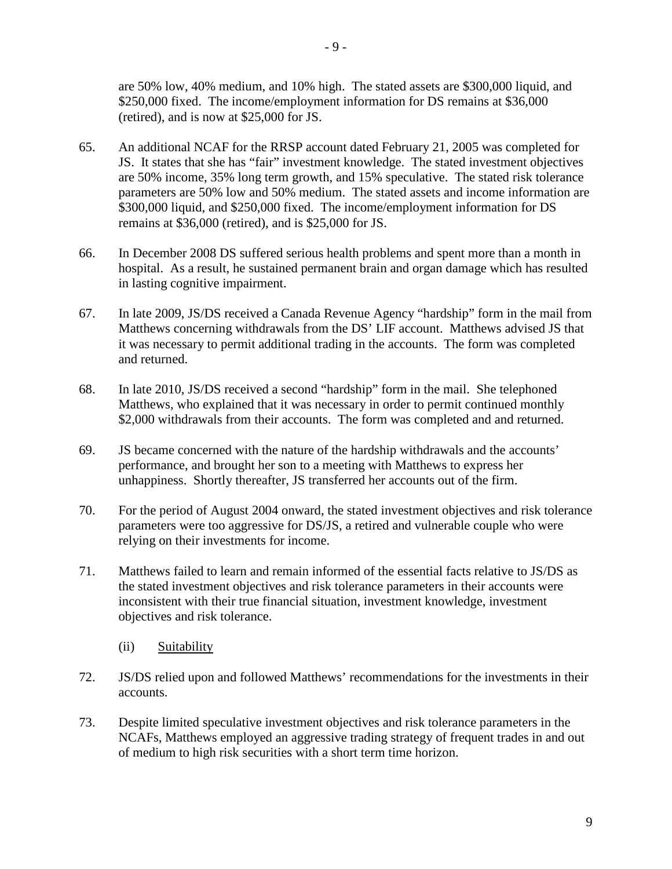are 50% low, 40% medium, and 10% high. The stated assets are \$300,000 liquid, and \$250,000 fixed. The income/employment information for DS remains at \$36,000

(retired), and is now at \$25,000 for JS.

- 65. An additional NCAF for the RRSP account dated February 21, 2005 was completed for JS. It states that she has "fair" investment knowledge. The stated investment objectives are 50% income, 35% long term growth, and 15% speculative. The stated risk tolerance parameters are 50% low and 50% medium. The stated assets and income information are \$300,000 liquid, and \$250,000 fixed. The income/employment information for DS remains at \$36,000 (retired), and is \$25,000 for JS.
- 66. In December 2008 DS suffered serious health problems and spent more than a month in hospital. As a result, he sustained permanent brain and organ damage which has resulted in lasting cognitive impairment.
- 67. In late 2009, JS/DS received a Canada Revenue Agency "hardship" form in the mail from Matthews concerning withdrawals from the DS' LIF account. Matthews advised JS that it was necessary to permit additional trading in the accounts. The form was completed and returned.
- 68. In late 2010, JS/DS received a second "hardship" form in the mail. She telephoned Matthews, who explained that it was necessary in order to permit continued monthly \$2,000 withdrawals from their accounts. The form was completed and and returned.
- 69. JS became concerned with the nature of the hardship withdrawals and the accounts' performance, and brought her son to a meeting with Matthews to express her unhappiness. Shortly thereafter, JS transferred her accounts out of the firm.
- 70. For the period of August 2004 onward, the stated investment objectives and risk tolerance parameters were too aggressive for DS/JS, a retired and vulnerable couple who were relying on their investments for income.
- 71. Matthews failed to learn and remain informed of the essential facts relative to JS/DS as the stated investment objectives and risk tolerance parameters in their accounts were inconsistent with their true financial situation, investment knowledge, investment objectives and risk tolerance.
	- (ii) Suitability
- 72. JS/DS relied upon and followed Matthews' recommendations for the investments in their accounts.
- 73. Despite limited speculative investment objectives and risk tolerance parameters in the NCAFs, Matthews employed an aggressive trading strategy of frequent trades in and out of medium to high risk securities with a short term time horizon.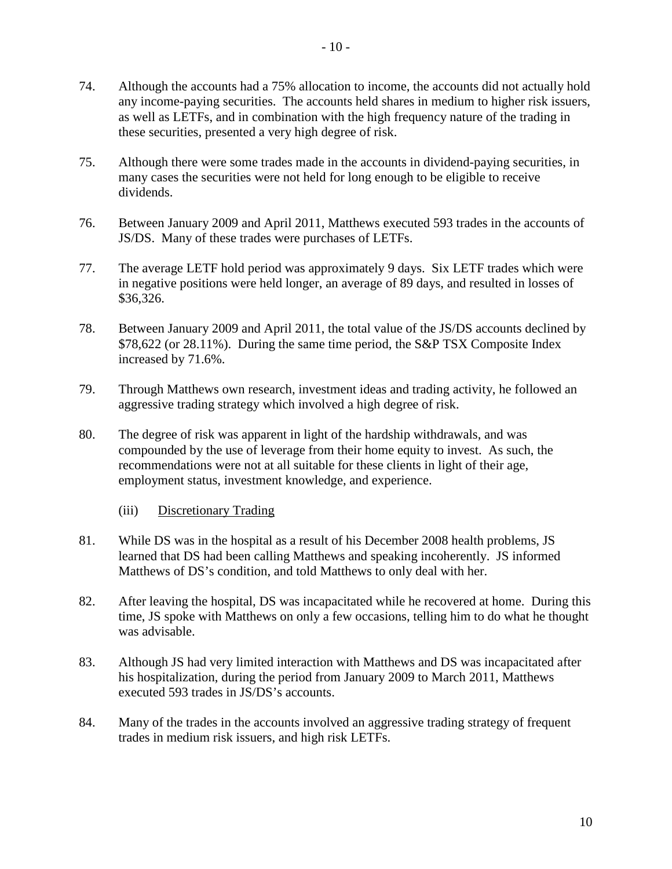- 74. Although the accounts had a 75% allocation to income, the accounts did not actually hold any income-paying securities. The accounts held shares in medium to higher risk issuers, as well as LETFs, and in combination with the high frequency nature of the trading in these securities, presented a very high degree of risk.
- 75. Although there were some trades made in the accounts in dividend-paying securities, in many cases the securities were not held for long enough to be eligible to receive dividends.
- 76. Between January 2009 and April 2011, Matthews executed 593 trades in the accounts of JS/DS. Many of these trades were purchases of LETFs.
- 77. The average LETF hold period was approximately 9 days. Six LETF trades which were in negative positions were held longer, an average of 89 days, and resulted in losses of \$36,326.
- 78. Between January 2009 and April 2011, the total value of the JS/DS accounts declined by \$78,622 (or 28.11%). During the same time period, the S&P TSX Composite Index increased by 71.6%.
- 79. Through Matthews own research, investment ideas and trading activity, he followed an aggressive trading strategy which involved a high degree of risk.
- 80. The degree of risk was apparent in light of the hardship withdrawals, and was compounded by the use of leverage from their home equity to invest. As such, the recommendations were not at all suitable for these clients in light of their age, employment status, investment knowledge, and experience.
	- (iii) Discretionary Trading
- 81. While DS was in the hospital as a result of his December 2008 health problems, JS learned that DS had been calling Matthews and speaking incoherently. JS informed Matthews of DS's condition, and told Matthews to only deal with her.
- 82. After leaving the hospital, DS was incapacitated while he recovered at home. During this time, JS spoke with Matthews on only a few occasions, telling him to do what he thought was advisable.
- 83. Although JS had very limited interaction with Matthews and DS was incapacitated after his hospitalization, during the period from January 2009 to March 2011, Matthews executed 593 trades in JS/DS's accounts.
- 84. Many of the trades in the accounts involved an aggressive trading strategy of frequent trades in medium risk issuers, and high risk LETFs.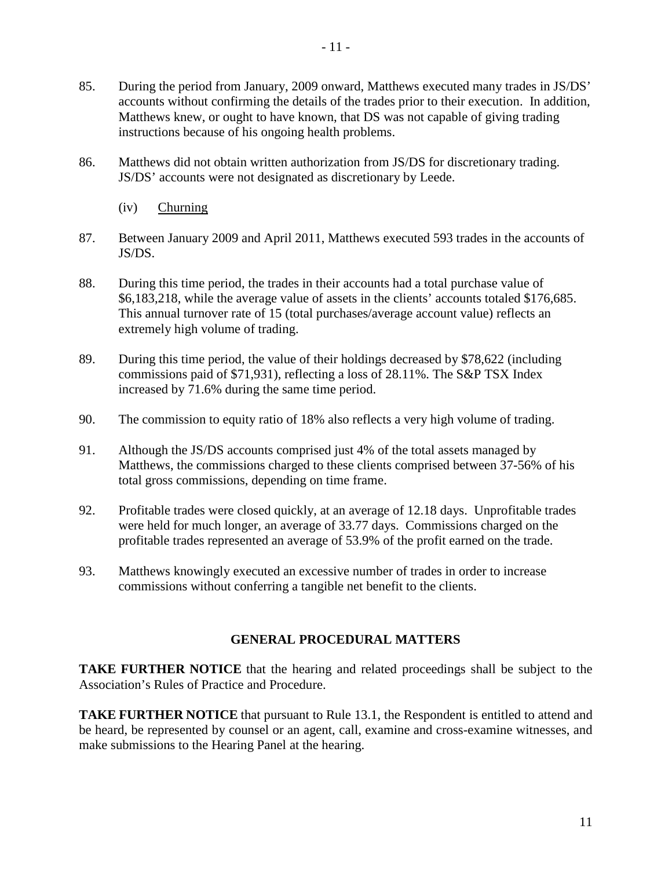- 85. During the period from January, 2009 onward, Matthews executed many trades in JS/DS' accounts without confirming the details of the trades prior to their execution. In addition, Matthews knew, or ought to have known, that DS was not capable of giving trading instructions because of his ongoing health problems.
- 86. Matthews did not obtain written authorization from JS/DS for discretionary trading. JS/DS' accounts were not designated as discretionary by Leede.
	- (iv) Churning
- 87. Between January 2009 and April 2011, Matthews executed 593 trades in the accounts of JS/DS.
- 88. During this time period, the trades in their accounts had a total purchase value of \$6,183,218, while the average value of assets in the clients' accounts totaled \$176,685. This annual turnover rate of 15 (total purchases/average account value) reflects an extremely high volume of trading.
- 89. During this time period, the value of their holdings decreased by \$78,622 (including commissions paid of \$71,931), reflecting a loss of 28.11%. The S&P TSX Index increased by 71.6% during the same time period.
- 90. The commission to equity ratio of 18% also reflects a very high volume of trading.
- 91. Although the JS/DS accounts comprised just 4% of the total assets managed by Matthews, the commissions charged to these clients comprised between 37-56% of his total gross commissions, depending on time frame.
- 92. Profitable trades were closed quickly, at an average of 12.18 days. Unprofitable trades were held for much longer, an average of 33.77 days. Commissions charged on the profitable trades represented an average of 53.9% of the profit earned on the trade.
- 93. Matthews knowingly executed an excessive number of trades in order to increase commissions without conferring a tangible net benefit to the clients.

## **GENERAL PROCEDURAL MATTERS**

**TAKE FURTHER NOTICE** that the hearing and related proceedings shall be subject to the Association's Rules of Practice and Procedure.

**TAKE FURTHER NOTICE** that pursuant to Rule 13.1, the Respondent is entitled to attend and be heard, be represented by counsel or an agent, call, examine and cross-examine witnesses, and make submissions to the Hearing Panel at the hearing.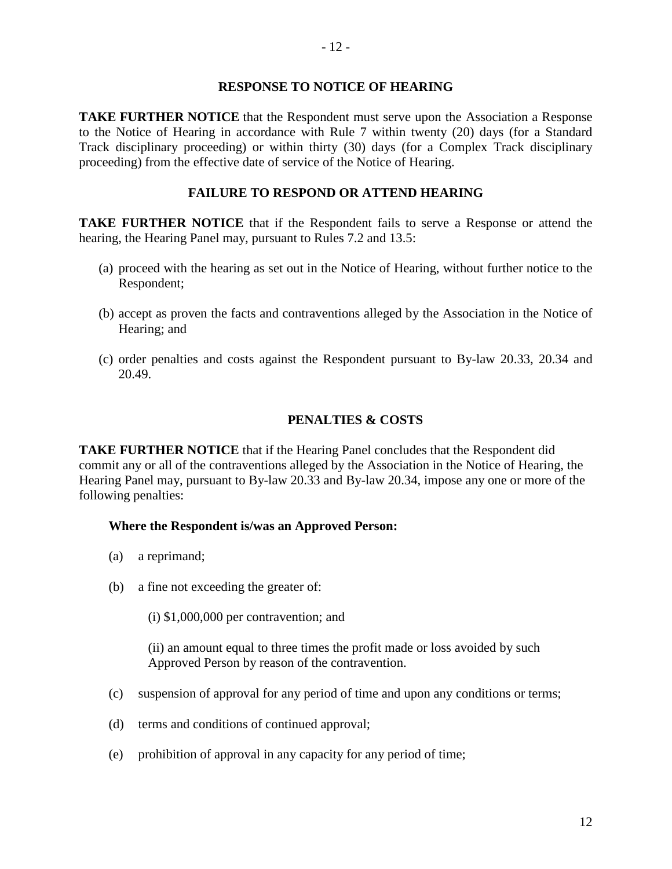## **RESPONSE TO NOTICE OF HEARING**

**TAKE FURTHER NOTICE** that the Respondent must serve upon the Association a Response to the Notice of Hearing in accordance with Rule 7 within twenty (20) days (for a Standard Track disciplinary proceeding) or within thirty (30) days (for a Complex Track disciplinary proceeding) from the effective date of service of the Notice of Hearing.

## **FAILURE TO RESPOND OR ATTEND HEARING**

**TAKE FURTHER NOTICE** that if the Respondent fails to serve a Response or attend the hearing, the Hearing Panel may, pursuant to Rules 7.2 and 13.5:

- (a) proceed with the hearing as set out in the Notice of Hearing, without further notice to the Respondent;
- (b) accept as proven the facts and contraventions alleged by the Association in the Notice of Hearing; and
- (c) order penalties and costs against the Respondent pursuant to By-law 20.33, 20.34 and 20.49.

## **PENALTIES & COSTS**

**TAKE FURTHER NOTICE** that if the Hearing Panel concludes that the Respondent did commit any or all of the contraventions alleged by the Association in the Notice of Hearing, the Hearing Panel may, pursuant to By-law 20.33 and By-law 20.34, impose any one or more of the following penalties:

## **Where the Respondent is/was an Approved Person:**

- (a) a reprimand;
- (b) a fine not exceeding the greater of:
	- (i) \$1,000,000 per contravention; and

(ii) an amount equal to three times the profit made or loss avoided by such Approved Person by reason of the contravention.

- (c) suspension of approval for any period of time and upon any conditions or terms;
- (d) terms and conditions of continued approval;
- (e) prohibition of approval in any capacity for any period of time;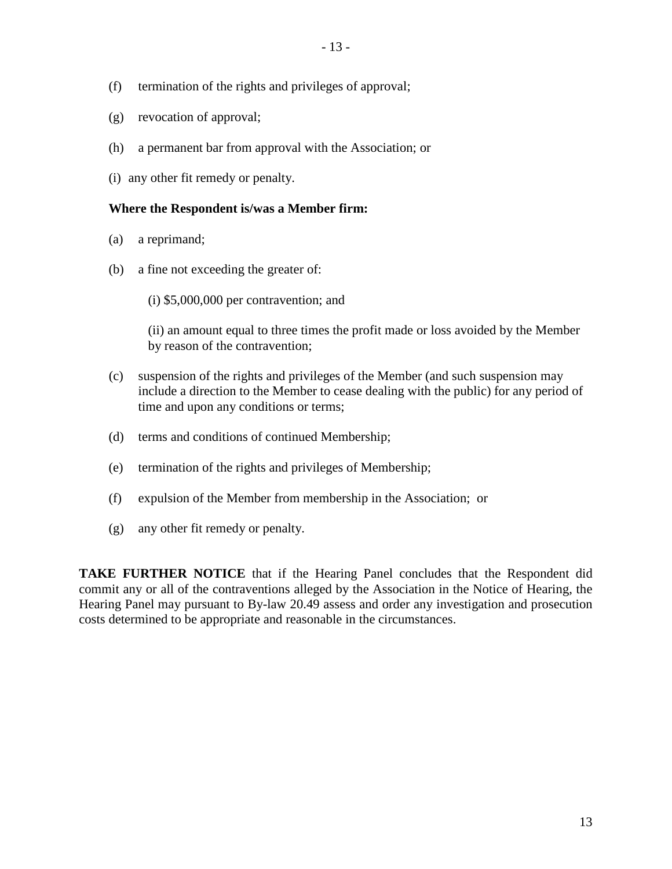- (f) termination of the rights and privileges of approval;
- (g) revocation of approval;
- (h) a permanent bar from approval with the Association; or
- (i) any other fit remedy or penalty.

### **Where the Respondent is/was a Member firm:**

- (a) a reprimand;
- (b) a fine not exceeding the greater of:
	- (i) \$5,000,000 per contravention; and

(ii) an amount equal to three times the profit made or loss avoided by the Member by reason of the contravention;

- (c) suspension of the rights and privileges of the Member (and such suspension may include a direction to the Member to cease dealing with the public) for any period of time and upon any conditions or terms;
- (d) terms and conditions of continued Membership;
- (e) termination of the rights and privileges of Membership;
- (f) expulsion of the Member from membership in the Association; or
- (g) any other fit remedy or penalty.

**TAKE FURTHER NOTICE** that if the Hearing Panel concludes that the Respondent did commit any or all of the contraventions alleged by the Association in the Notice of Hearing, the Hearing Panel may pursuant to By-law 20.49 assess and order any investigation and prosecution costs determined to be appropriate and reasonable in the circumstances.